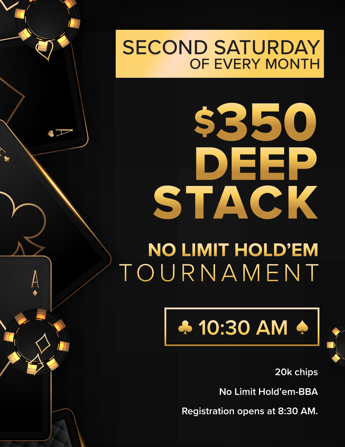## SECOND SATURDAY OF EVERY MONTH

## TOURNAMENT DEEP \$350 STACK **NO LIMIT HOLD'EM**

 $\sqrt{}$ 

## **4 10:30 AM 4**



**20k chips**

**No Limit Hold'em-BBA**

**Registration opens at 8:30 AM.**